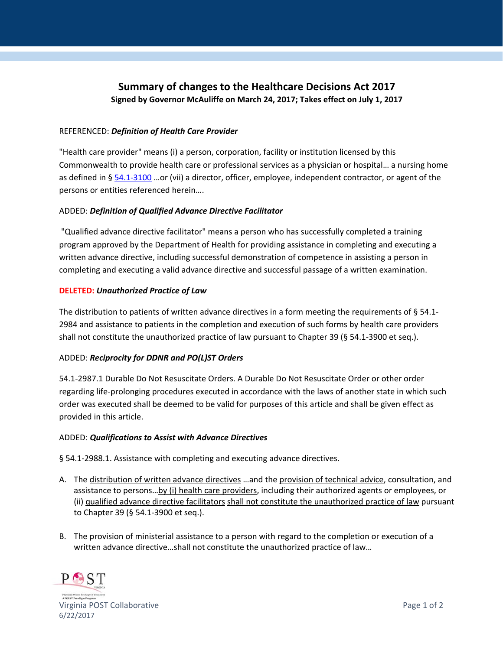# **Summary of changes to the Healthcare Decisions Act 2017 Signed by Governor McAuliffe on March 24, 2017; Takes effect on July 1, 2017**

### REFERENCED: *Definition of Health Care Provider*

"Health care provider" means (i) a person, corporation, facility or institution licensed by this Commonwealth to provide health care or professional services as a physician or hospital… a nursing home as defined in § 54.1‐3100 …or (vii) a director, officer, employee, independent contractor, or agent of the persons or entities referenced herein….

### ADDED: *Definition of Qualified Advance Directive Facilitator*

"Qualified advance directive facilitator" means a person who has successfully completed a training program approved by the Department of Health for providing assistance in completing and executing a written advance directive, including successful demonstration of competence in assisting a person in completing and executing a valid advance directive and successful passage of a written examination.

### **DELETED:** *Unauthorized Practice of Law*

The distribution to patients of written advance directives in a form meeting the requirements of § 54.1-2984 and assistance to patients in the completion and execution of such forms by health care providers shall not constitute the unauthorized practice of law pursuant to Chapter 39 (§ 54.1-3900 et seq.).

# ADDED: *Reciprocity for DDNR and PO(L)ST Orders*

54.1-2987.1 Durable Do Not Resuscitate Orders. A Durable Do Not Resuscitate Order or other order regarding life‐prolonging procedures executed in accordance with the laws of another state in which such order was executed shall be deemed to be valid for purposes of this article and shall be given effect as provided in this article.

#### ADDED: *Qualifications to Assist with Advance Directives*

§ 54.1-2988.1. Assistance with completing and executing advance directives.

- A. The distribution of written advance directives ... and the provision of technical advice, consultation, and assistance to persons...by (i) health care providers, including their authorized agents or employees, or (ii) qualified advance directive facilitators shall not constitute the unauthorized practice of law pursuant to Chapter 39 (§ 54.1‐3900 et seq.).
- B. The provision of ministerial assistance to a person with regard to the completion or execution of a written advance directive…shall not constitute the unauthorized practice of law…